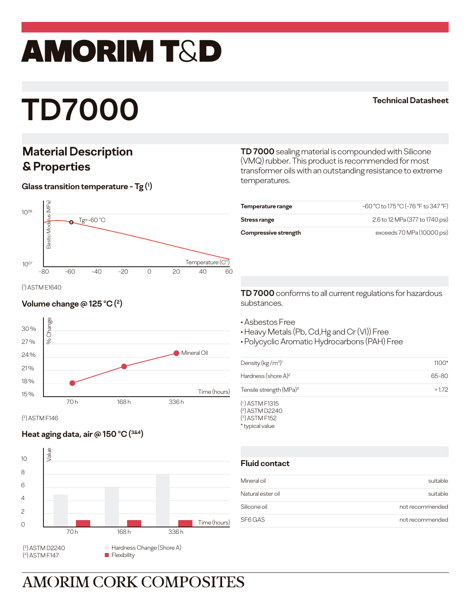# amorim T&D

# **TD7000**

### **Technical Datasheet**

## **Material Description & Properties**

### **Glass transition temperature - Tg (1 )**



( 1

### **Volume change @ 125 °C (<sup>2</sup>)**



( 2 ) ASTM F146

### **Heat aging data, air @ 150 °C (<sup>3&4</sup>)**



**TD 7000** sealing material is compounded with Silicone (VMQ) rubber. This product is recommended for most transformer oils with an outstanding resistance to extreme temperatures.

| Temperature range    | -60 °C to 175 °C (-76 °F to 347 °F) |
|----------------------|-------------------------------------|
| Stress range         | 2.6 to 12 MPa (377 to 1740 psi)     |
| Compressive strength | exceeds 70 MPa (10000 psi)          |

**TD 7000** conforms to all current regulations for hazardous substances.

- Asbestos Free
- Heavy Metals (Pb, Cd,Hg and Cr (VI)) Free
- Polycyclic Aromatic Hydrocarbons (PAH) Free

| Density ( $kg/m^3$ ) <sup>1</sup>                                       | $1100*$ |
|-------------------------------------------------------------------------|---------|
| Hardness (shore $A$ ) <sup>2</sup>                                      | 65-80   |
| Tensile strength (MPa) <sup>3</sup>                                     | >1.72   |
| $(1)$ ASTM F1315<br>$(\alpha)$ . $\alpha = 1$ . $\alpha = 1$ . $\alpha$ |         |

( 2 ) ASTM D2240 ( 3 ) ASTM F152 \* typical value

### **Fluid contact**

| Mineral oil       | suitable        |
|-------------------|-----------------|
| Natural ester oil | suitable        |
| Silicone oil      | not recommended |
| SF6 GAS           | not recommended |

## **AMORIM CORK COMPOSITES**